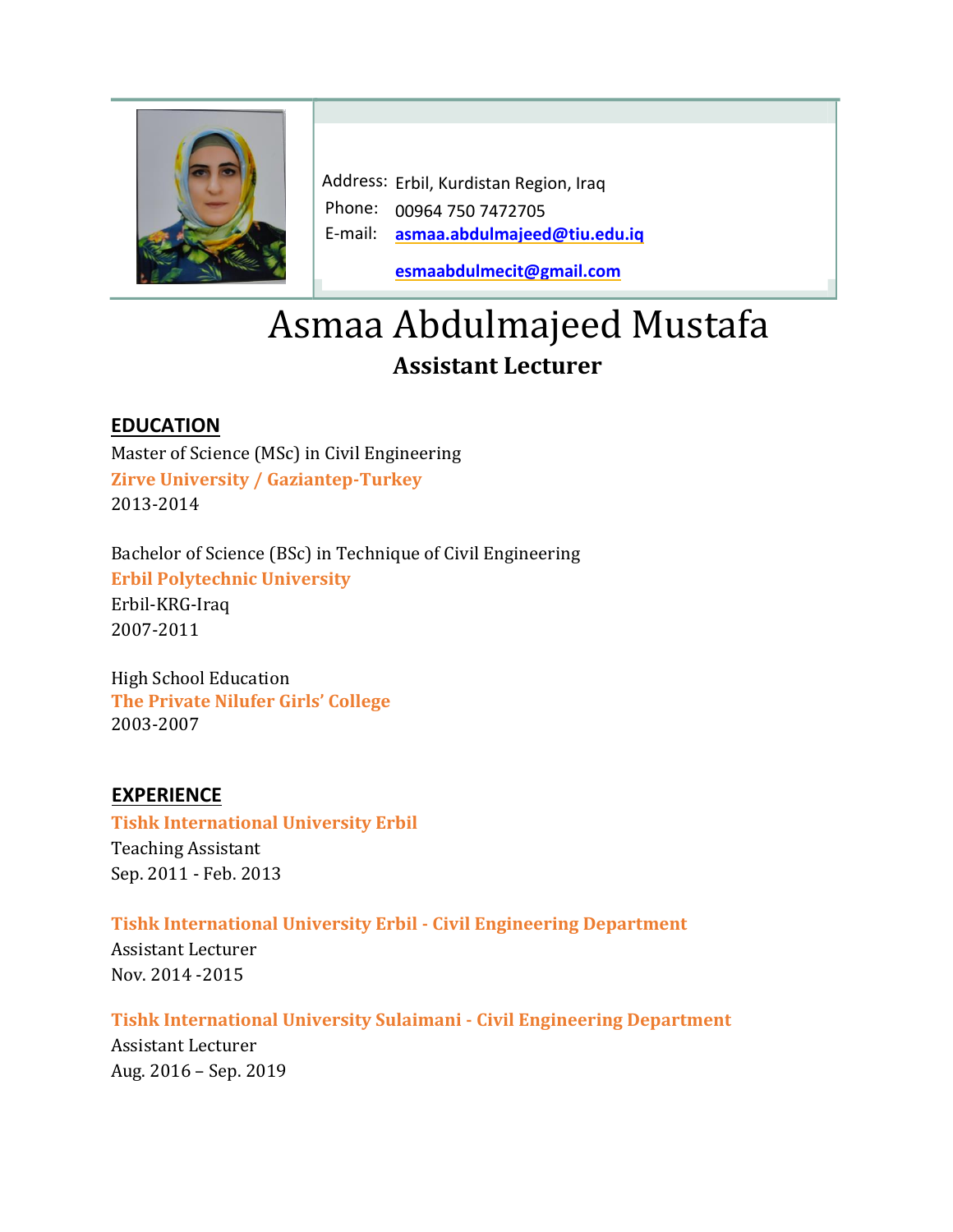

Address: Erbil, Kurdistan Region, Iraq Phone: 00964 750 7472705 E-mail: **[asmaa.abdulmajeed@tiu.edu.iq](mailto:asmaa.abdulmajeed@tiu.edu.iq)**

**[esmaabdulmecit@gmail.com](mailto:esmaabdulmecit@gmail.com)**

# Asmaa Abdulmajeed Mustafa **Assistant Lecturer**

### **EDUCATION**

Master of Science (MSc) in Civil Engineering **Zirve University / Gaziantep-Turkey** 2013-2014

Bachelor of Science (BSc) in Technique of Civil Engineering **Erbil Polytechnic University** Erbil-KRG-Iraq 2007-2011

High School Education **The Private Nilufer Girls' College**  2003-2007

#### **EXPERIENCE**

**Tishk International University Erbil** Teaching Assistant Sep. 2011 - Feb. 2013

**Tishk International University Erbil - Civil Engineering Department**

Assistant Lecturer Nov. 2014 -2015

**Tishk International University Sulaimani - Civil Engineering Department** Assistant Lecturer Aug. 2016 – Sep. 2019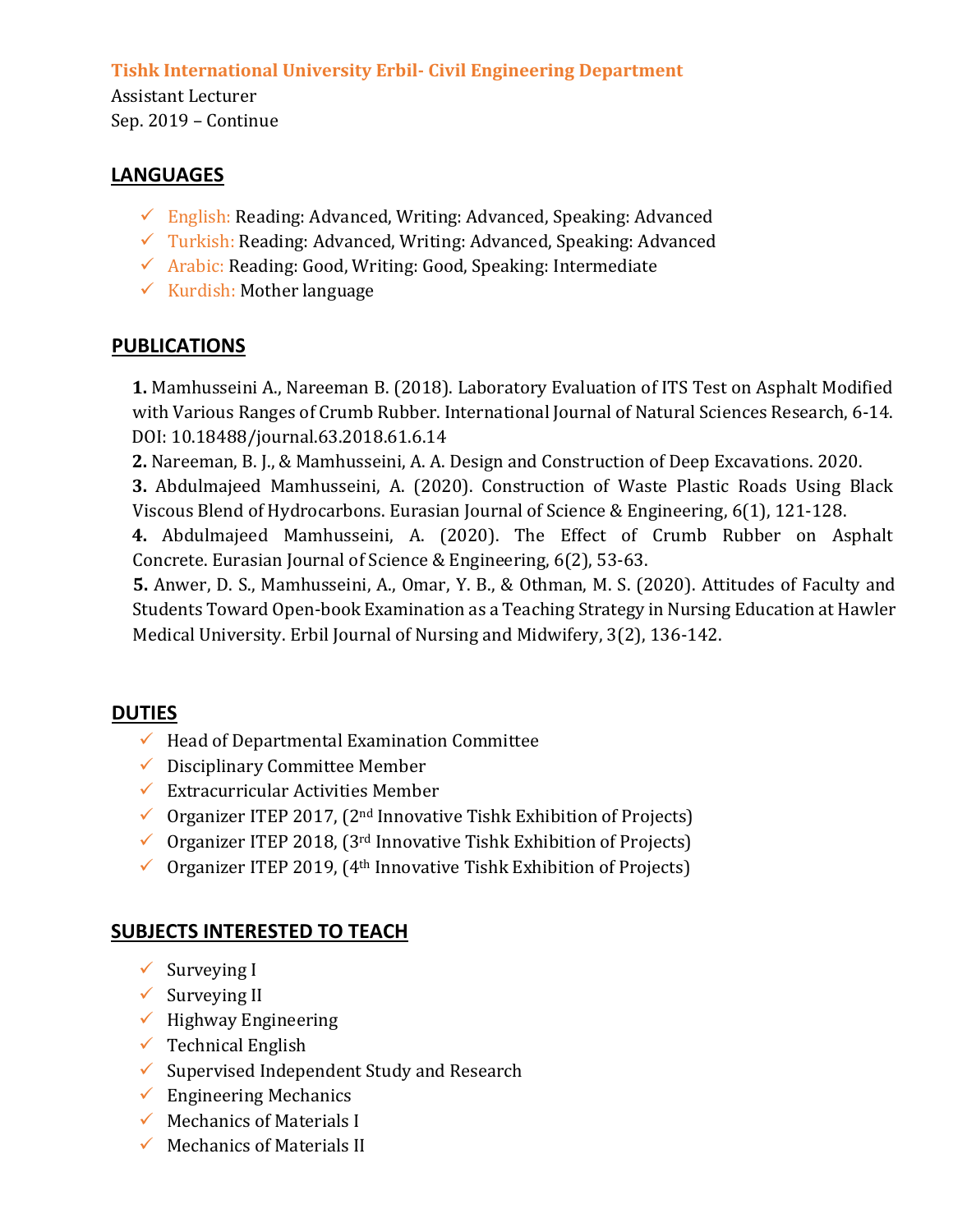#### **Tishk International University Erbil- Civil Engineering Department**

Assistant Lecturer Sep. 2019 – Continue

#### **LANGUAGES**

- $\checkmark$  English: Reading: Advanced, Writing: Advanced, Speaking: Advanced
- $\checkmark$  Turkish: Reading: Advanced, Writing: Advanced, Speaking: Advanced
- $\checkmark$  Arabic: Reading: Good, Writing: Good, Speaking: Intermediate
- $\checkmark$  Kurdish: Mother language

#### **PUBLICATIONS**

**1.** Mamhusseini A., Nareeman B. (2018). Laboratory Evaluation of ITS Test on Asphalt Modified with Various Ranges of Crumb Rubber. International Journal of Natural Sciences Research, 6-14. DOI: 10.18488/journal.63.2018.61.6.14

**2.** Nareeman, B. J., & Mamhusseini, A. A. Design and Construction of Deep Excavations. 2020.

**3.** Abdulmajeed Mamhusseini, A. (2020). Construction of Waste Plastic Roads Using Black Viscous Blend of Hydrocarbons. Eurasian Journal of Science & Engineering, 6(1), 121-128.

**4.** Abdulmajeed Mamhusseini, A. (2020). The Effect of Crumb Rubber on Asphalt Concrete. Eurasian Journal of Science & Engineering, 6(2), 53-63.

**5.** Anwer, D. S., Mamhusseini, A., Omar, Y. B., & Othman, M. S. (2020). Attitudes of Faculty and Students Toward Open-book Examination as a Teaching Strategy in Nursing Education at Hawler Medical University. Erbil Journal of Nursing and Midwifery, 3(2), 136-142.

### **DUTIES**

- $\checkmark$  Head of Departmental Examination Committee
- $\checkmark$  Disciplinary Committee Member
- $\checkmark$  Extracurricular Activities Member
- $\checkmark$  Organizer ITEP 2017, (2<sup>nd</sup> Innovative Tishk Exhibition of Projects)
- $\checkmark$  Organizer ITEP 2018, (3<sup>rd</sup> Innovative Tishk Exhibition of Projects)
- $\checkmark$  Organizer ITEP 2019, (4<sup>th</sup> Innovative Tishk Exhibition of Projects)

## **SUBJECTS INTERESTED TO TEACH**

- $\checkmark$  Surveying I
- $\checkmark$  Surveying II
- $\checkmark$  Highway Engineering
- $\checkmark$  Technical English
- $\checkmark$  Supervised Independent Study and Research
- $\checkmark$  Engineering Mechanics
- $\checkmark$  Mechanics of Materials I
- $\checkmark$  Mechanics of Materials II